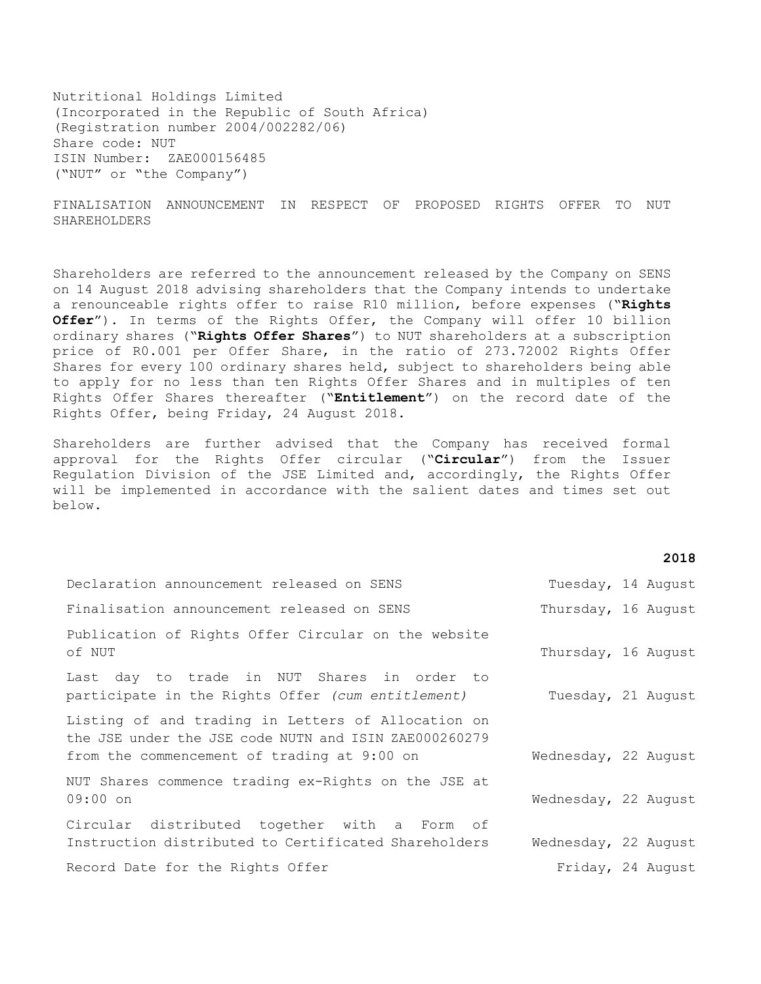Nutritional Holdings Limited (Incorporated in the Republic of South Africa) (Registration number 2004/002282/06) Share code: NUT ISIN Number: ZAE000156485 ("NUT" or "the Company")

FINALISATION ANNOUNCEMENT IN RESPECT OF PROPOSED RIGHTS OFFER TO NUT SHAREHOLDERS

Shareholders are referred to the announcement released by the Company on SENS on 14 August 2018 advising shareholders that the Company intends to undertake a renounceable rights offer to raise R10 million, before expenses ("**Rights Offer**"). In terms of the Rights Offer, the Company will offer 10 billion ordinary shares ("**Rights Offer Shares**") to NUT shareholders at a subscription price of R0.001 per Offer Share, in the ratio of 273.72002 Rights Offer Shares for every 100 ordinary shares held, subject to shareholders being able to apply for no less than ten Rights Offer Shares and in multiples of ten Rights Offer Shares thereafter ("**Entitlement**") on the record date of the Rights Offer, being Friday, 24 August 2018.

Shareholders are further advised that the Company has received formal approval for the Rights Offer circular ("**Circular**") from the Issuer Regulation Division of the JSE Limited and, accordingly, the Rights Offer will be implemented in accordance with the salient dates and times set out below.

| ×<br>۰, |  | ×<br>٧ |
|---------|--|--------|
|---------|--|--------|

| Declaration announcement released on SENS                                                                                                                  | Tuesday, 14 August   |  |
|------------------------------------------------------------------------------------------------------------------------------------------------------------|----------------------|--|
| Finalisation announcement released on SENS                                                                                                                 | Thursday, 16 August  |  |
| Publication of Rights Offer Circular on the website<br>of NUT                                                                                              | Thursday, 16 August  |  |
| Last day to trade in NUT Shares in order to<br>participate in the Rights Offer (cum entitlement)                                                           | Tuesday, 21 August   |  |
| Listing of and trading in Letters of Allocation on<br>the JSE under the JSE code NUTN and ISIN ZAE000260279<br>from the commencement of trading at 9:00 on | Wednesday, 22 August |  |
| NUT Shares commence trading ex-Rights on the JSE at<br>$09:00$ on                                                                                          | Wednesday, 22 August |  |
| Circular distributed together with a Form of<br>Instruction distributed to Certificated Shareholders                                                       | Wednesday, 22 August |  |
| Record Date for the Rights Offer                                                                                                                           | Friday, 24 August    |  |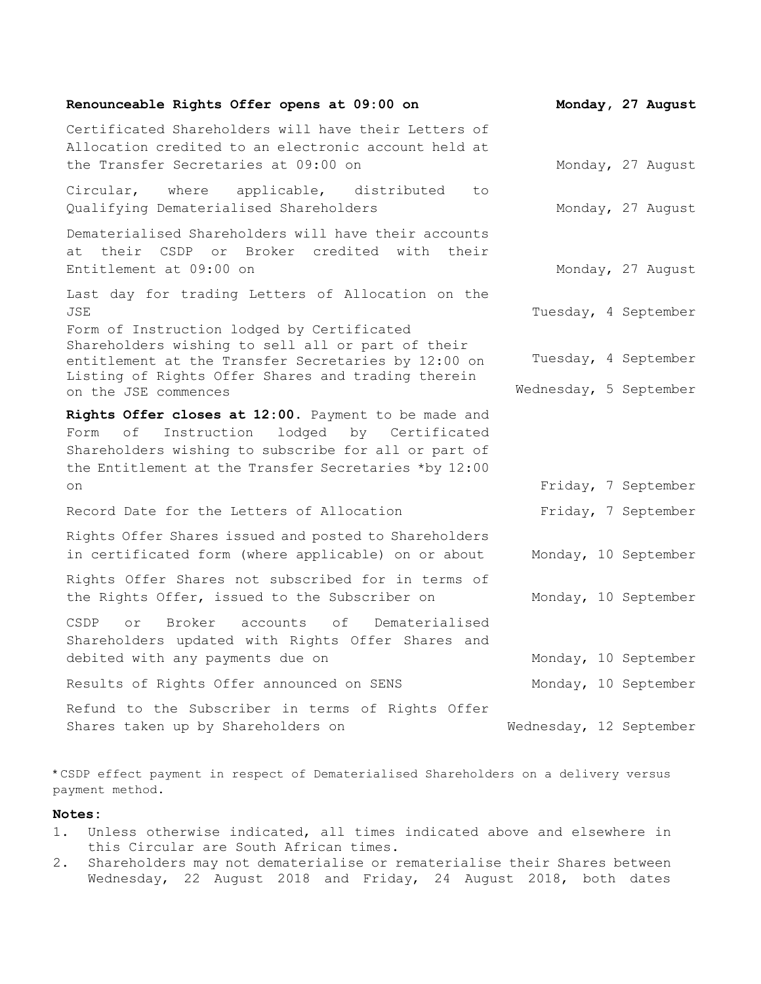| Renounceable Rights Offer opens at 09:00 on                                                                                                                                                                               | Monday, 27 August                              |
|---------------------------------------------------------------------------------------------------------------------------------------------------------------------------------------------------------------------------|------------------------------------------------|
| Certificated Shareholders will have their Letters of<br>Allocation credited to an electronic account held at<br>the Transfer Secretaries at 09:00 on                                                                      | Monday, 27 August                              |
| Circular, where applicable, distributed<br>to<br>Qualifying Dematerialised Shareholders                                                                                                                                   | Monday, 27 August                              |
| Dematerialised Shareholders will have their accounts<br>at their CSDP or Broker credited with their<br>Entitlement at 09:00 on                                                                                            | Monday, 27 August                              |
| Last day for trading Letters of Allocation on the<br><b>JSE</b><br>Form of Instruction lodged by Certificated                                                                                                             | Tuesday, 4 September                           |
| Shareholders wishing to sell all or part of their<br>entitlement at the Transfer Secretaries by 12:00 on<br>Listing of Rights Offer Shares and trading therein<br>on the JSE commences                                    | Tuesday, 4 September<br>Wednesday, 5 September |
| Rights Offer closes at 12:00. Payment to be made and<br>Instruction lodged by Certificated<br>оf<br>Form<br>Shareholders wishing to subscribe for all or part of<br>the Entitlement at the Transfer Secretaries *by 12:00 |                                                |
| on<br>Record Date for the Letters of Allocation                                                                                                                                                                           | Friday, 7 September<br>Friday, 7 September     |
| Rights Offer Shares issued and posted to Shareholders<br>in certificated form (where applicable) on or about                                                                                                              | Monday, 10 September                           |
| Rights Offer Shares not subscribed for in terms of<br>the Rights Offer, issued to the Subscriber on                                                                                                                       | Monday, 10 September                           |
| <b>CSDP</b><br>Broker accounts of<br>Dematerialised<br>or<br>Shareholders updated with Rights Offer Shares and<br>debited with any payments due on                                                                        | Monday, 10 September                           |
| Results of Rights Offer announced on SENS                                                                                                                                                                                 | Monday, 10 September                           |
| Refund to the Subscriber in terms of Rights Offer<br>Shares taken up by Shareholders on                                                                                                                                   | Wednesday, 12 September                        |

\* CSDP effect payment in respect of Dematerialised Shareholders on a delivery versus payment method.

## **Notes:**

- 1. Unless otherwise indicated, all times indicated above and elsewhere in this Circular are South African times.
- 2. Shareholders may not dematerialise or rematerialise their Shares between Wednesday, 22 August 2018 and Friday, 24 August 2018, both dates